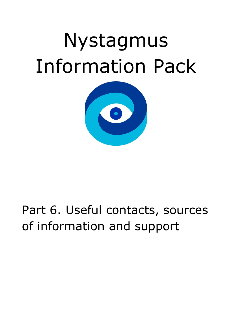## Nystagmus Information Pack



## Part 6. Useful contacts, sources of information and support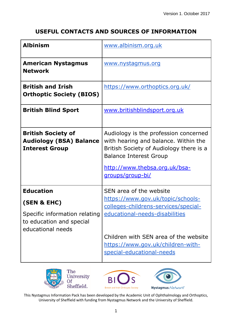## **USEFUL CONTACTS AND SOURCES OF INFORMATION**

| <b>Albinism</b>                                                                      | www.albinism.org.uk                                                                                                                                                                                                   |
|--------------------------------------------------------------------------------------|-----------------------------------------------------------------------------------------------------------------------------------------------------------------------------------------------------------------------|
| <b>American Nystagmus</b><br><b>Network</b>                                          | www.nystagmus.org                                                                                                                                                                                                     |
| <b>British and Irish</b><br><b>Orthoptic Society (BIOS)</b>                          | https://www.orthoptics.org.uk/                                                                                                                                                                                        |
| <b>British Blind Sport</b>                                                           | www.britishblindsport.org.uk                                                                                                                                                                                          |
| <b>British Society of</b><br><b>Audiology (BSA) Balance</b><br><b>Interest Group</b> | Audiology is the profession concerned<br>with hearing and balance. Within the<br>British Society of Audiology there is a<br><b>Balance Interest Group</b><br>http://www.thebsa.org.uk/bsa-<br><u>groups/group-bi/</u> |
| <b>Education</b>                                                                     | SEN area of the website                                                                                                                                                                                               |
| (SEN & EHC)                                                                          | <u> https://www.gov.uk/topic/schools-</u><br>colleges-childrens-services/special-                                                                                                                                     |
| Specific information relating<br>to education and special<br>educational needs       | educational-needs-disabilities                                                                                                                                                                                        |
|                                                                                      | Children with SEN area of the website<br><u> https://www.gov.uk/children-with-</u><br>special-educational-needs                                                                                                       |





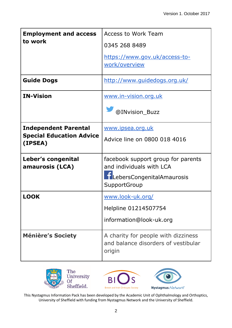| <b>Employment and access</b><br>to work                                   | <b>Access to Work Team</b>                                                           |
|---------------------------------------------------------------------------|--------------------------------------------------------------------------------------|
|                                                                           | 0345 268 8489                                                                        |
|                                                                           | https://www.gov.uk/access-to-<br>work/overview                                       |
| <b>Guide Dogs</b>                                                         | http://www.guidedogs.org.uk/                                                         |
| <b>IN-Vision</b>                                                          | www.in-vision.org.uk                                                                 |
|                                                                           | @INvision Buzz                                                                       |
| <b>Independent Parental</b><br><b>Special Education Advice</b><br>(IPSEA) | www.ipsea.org.uk                                                                     |
|                                                                           | Advice line on 0800 018 4016                                                         |
| Leber's congenital                                                        | facebook support group for parents                                                   |
| amaurosis (LCA)                                                           | and individuals with LCA                                                             |
|                                                                           | <b>ElebersCongenitalAmaurosis</b><br>SupportGroup                                    |
| <b>LOOK</b>                                                               | www.look-uk.org/                                                                     |
|                                                                           | Helpline 01214507754                                                                 |
|                                                                           | information@look-uk.org                                                              |
| <b>Ménière's Society</b>                                                  | A charity for people with dizziness<br>and balance disorders of vestibular<br>origin |



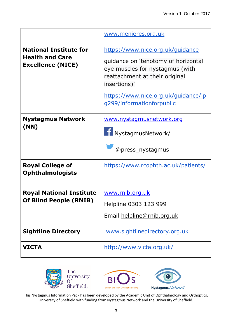|                                                                                     | www.menieres.org.uk                                                                                                                                                                                                              |
|-------------------------------------------------------------------------------------|----------------------------------------------------------------------------------------------------------------------------------------------------------------------------------------------------------------------------------|
| <b>National Institute for</b><br><b>Health and Care</b><br><b>Excellence (NICE)</b> | https://www.nice.org.uk/guidance<br>guidance on 'tenotomy of horizontal<br>eye muscles for nystagmus (with<br>reattachment at their original<br>insertions)'<br>https://www.nice.org.uk/guidance/ip<br>g299/informationforpublic |
| <b>Nystagmus Network</b><br>(NN)                                                    | www.nystagmusnetwork.org<br>NystagmusNetwork/<br>@press_nystagmus                                                                                                                                                                |
| <b>Royal College of</b><br><b>Ophthalmologists</b>                                  | https://www.rcophth.ac.uk/patients/                                                                                                                                                                                              |
| <b>Royal National Institute</b><br><b>Of Blind People (RNIB)</b>                    | www.rnib.org.uk<br>Helpline 0303 123 999<br>Email helpline@rnib.org.uk                                                                                                                                                           |
| <b>Sightline Directory</b>                                                          | www.sightlinedirectory.org.uk                                                                                                                                                                                                    |
| <b>VICTA</b>                                                                        | http://www.victa.org.uk/                                                                                                                                                                                                         |



 $\bullet$ Nystagmus Network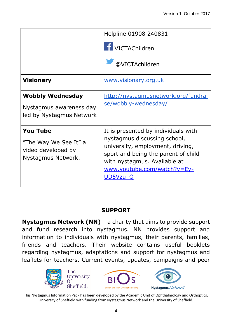|                                                                                      | Helpline 01908 240831                                                                                                                                                                                                     |
|--------------------------------------------------------------------------------------|---------------------------------------------------------------------------------------------------------------------------------------------------------------------------------------------------------------------------|
|                                                                                      | T VICTAChildren                                                                                                                                                                                                           |
|                                                                                      | @VICTAchildren                                                                                                                                                                                                            |
| <b>Visionary</b>                                                                     | www.visionary.org.uk                                                                                                                                                                                                      |
| <b>Wobbly Wednesday</b><br>Nystagmus awareness day<br>led by Nystagmus Network       | http://nystagmusnetwork.org/fundrai<br>se/wobbly-wednesday/                                                                                                                                                               |
| <b>You Tube</b><br>"The Way We See It" a<br>video developed by<br>Nystagmus Network. | It is presented by individuals with<br>nystagmus discussing school,<br>university, employment, driving,<br>sport and being the parent of child<br>with nystagmus. Available at<br>www.youtube.com/watch?v=Ey-<br>UD5Vzu Q |

## **SUPPORT**

**Nystagmus Network (NN)** – a charity that aims to provide support and fund research into nystagmus. NN provides support and information to individuals with nystagmus, their parents, families, friends and teachers. Their website contains useful booklets regarding nystagmus, adaptations and support for nystagmus and leaflets for teachers. Current events, updates, campaigns and peer





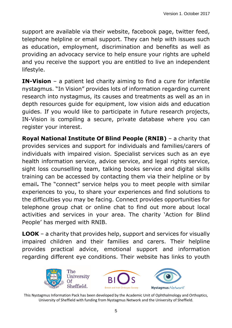support are available via their website, facebook page, twitter feed, telephone helpline or email support. They can help with issues such as education, employment, discrimination and benefits as well as providing an advocacy service to help ensure your rights are upheld and you receive the support you are entitled to live an independent lifestyle.

**IN-Vision** – a patient led charity aiming to find a cure for infantile nystagmus. "In Vision" provides lots of information regarding current research into nystagmus, its causes and treatments as well as an in depth resources guide for equipment, low vision aids and education guides. If you would like to participate in future research projects, IN-Vision is compiling a secure, private database where you can register your interest.

**Royal National Institute Of Blind People (RNIB)** – a charity that provides services and support for individuals and families/carers of individuals with impaired vision. Specialist services such as an eye health information service, advice service, and legal rights service, sight loss counselling team, talking books service and digital skills training can be accessed by contacting them via their helpline or by email**.** The "connect" service helps you to meet people with similar experiences to you, to share your experiences and find solutions to the difficulties you may be facing. Connect provides opportunities for telephone group chat or online chat to find out more about local activities and services in your area. The charity 'Action for Blind People' has merged with RNIB.

**LOOK** – a charity that provides help, support and services for visually impaired children and their families and carers. Their helpline provides practical advice, emotional support and information regarding different eye conditions. Their website has links to youth





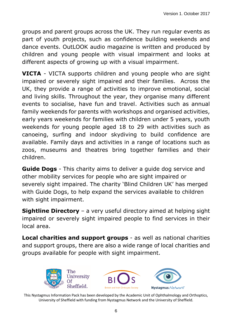groups and parent groups across the UK. They run regular events as part of youth projects, such as confidence building weekends and dance events. OutLOOK audio magazine is written and produced by children and young people with visual impairment and looks at different aspects of growing up with a visual impairment.

**VICTA** - VICTA supports children and young people who are sight impaired or severely sight impaired and their families. Across the UK, they provide a range of activities to improve emotional, social and living skills. Throughout the year, they organise many different events to socialise, have fun and travel. Activities such as annual family weekends for parents with workshops and organised activities, early years weekends for families with children under 5 years, youth weekends for young people aged 18 to 29 with activities such as canoeing, surfing and indoor skydiving to build confidence are available. Family days and activities in a range of locations such as zoos, museums and theatres bring together families and their children.

**Guide Dogs** - This charity aims to deliver a guide dog service and other mobility services for people who are sight impaired or severely sight impaired. The charity 'Blind Children UK' has merged with Guide Dogs, to help expand the services available to children with sight impairment.

**Sightline Directory** – a very useful directory aimed at helping sight impaired or severely sight impaired people to find services in their local area.

**Local charities and support groups** - as well as national charities and support groups, there are also a wide range of local charities and groups available for people with sight impairment.